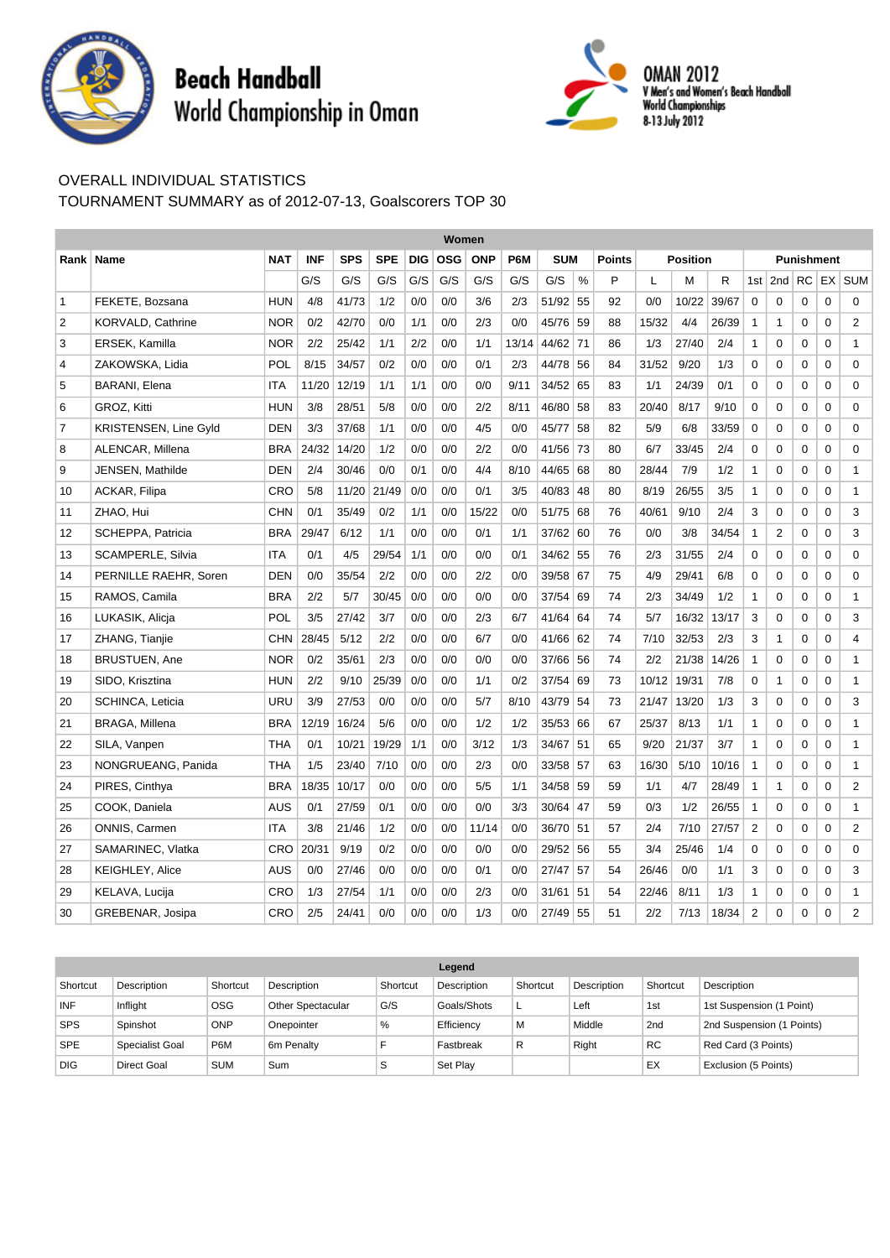

## **Beach Handball** World Championship in Oman



## OVERALL INDIVIDUAL STATISTICS

TOURNAMENT SUMMARY as of 2012-07-13, Goalscorers TOP 30

|                | Women                        |            |            |            |            |            |                                 |       |       |                             |    |    |                 |       |       |                   |                 |           |             |                |
|----------------|------------------------------|------------|------------|------------|------------|------------|---------------------------------|-------|-------|-----------------------------|----|----|-----------------|-------|-------|-------------------|-----------------|-----------|-------------|----------------|
| Rank l         | <b>Name</b>                  | <b>NAT</b> | <b>INF</b> | <b>SPS</b> | <b>SPE</b> | <b>DIG</b> | <b>OSG</b><br><b>ONP</b><br>P6M |       |       | <b>SUM</b><br><b>Points</b> |    |    | <b>Position</b> |       |       | <b>Punishment</b> |                 |           |             |                |
|                |                              |            | G/S        | G/S        | G/S        | G/S        | G/S                             | G/S   | G/S   | G/S                         | %  | P  | L               | M     | R     | 1st               | 2 <sub>nd</sub> | <b>RC</b> |             | $EX$ SUM       |
| 1              | FEKETE, Bozsana              | <b>HUN</b> | 4/8        | 41/73      | 1/2        | 0/0        | 0/0                             | 3/6   | 2/3   | 51/92                       | 55 | 92 | 0/0             | 10/22 | 39/67 | 0                 | 0               | 0         | 0           | $\mathbf 0$    |
| $\overline{2}$ | <b>KORVALD, Cathrine</b>     | NOR        | 0/2        | 42/70      | 0/0        | 1/1        | 0/0                             | 2/3   | 0/0   | 45/76 59                    |    | 88 | 15/32           | 4/4   | 26/39 | $\mathbf{1}$      | $\mathbf{1}$    | 0         | $\mathbf 0$ | $\overline{2}$ |
| 3              | ERSEK, Kamilla               | <b>NOR</b> | 2/2        | 25/42      | 1/1        | 2/2        | 0/0                             | 1/1   | 13/14 | 44/62 71                    |    | 86 | 1/3             | 27/40 | 2/4   | $\mathbf{1}$      | 0               | 0         | 0           | $\mathbf{1}$   |
| 4              | ZAKOWSKA, Lidia              | POL        | 8/15       | 34/57      | 0/2        | 0/0        | 0/0                             | 0/1   | 2/3   | 44/78                       | 56 | 84 | 31/52           | 9/20  | 1/3   | 0                 | 0               | 0         | 0           | 0              |
| 5              | <b>BARANI, Elena</b>         | ITA        | 11/20      | 12/19      | 1/1        | 1/1        | 0/0                             | 0/0   | 9/11  | 34/52 65                    |    | 83 | 1/1             | 24/39 | 0/1   | 0                 | 0               | 0         | 0           | 0              |
| 6              | GROZ, Kitti                  | <b>HUN</b> | 3/8        | 28/51      | 5/8        | 0/0        | 0/0                             | 2/2   | 8/11  | 46/80                       | 58 | 83 | 20/40           | 8/17  | 9/10  | 0                 | 0               | 0         | $\mathbf 0$ | $\mathbf 0$    |
| $\overline{7}$ | <b>KRISTENSEN, Line Gyld</b> | <b>DEN</b> | 3/3        | 37/68      | 1/1        | 0/0        | 0/0                             | 4/5   | 0/0   | 45/77                       | 58 | 82 | 5/9             | 6/8   | 33/59 | 0                 | 0               | $\Omega$  | $\mathbf 0$ | $\mathbf 0$    |
| 8              | ALENCAR, Millena             | BRA        | 24/32      | 14/20      | 1/2        | 0/0        | 0/0                             | 2/2   | 0/0   | 41/56 73                    |    | 80 | 6/7             | 33/45 | 2/4   | 0                 | 0               | 0         | 0           | 0              |
| 9              | JENSEN, Mathilde             | <b>DEN</b> | 2/4        | 30/46      | 0/0        | 0/1        | 0/0                             | 4/4   | 8/10  | 44/65                       | 68 | 80 | 28/44           | 7/9   | 1/2   | $\mathbf{1}$      | 0               | 0         | 0           | $\mathbf{1}$   |
| 10             | ACKAR, Filipa                | CRO        | 5/8        | 11/20      | 21/49      | 0/0        | 0/0                             | 0/1   | 3/5   | 40/83                       | 48 | 80 | 8/19            | 26/55 | 3/5   | $\mathbf{1}$      | 0               | 0         | 0           | $\mathbf{1}$   |
| 11             | ZHAO, Hui                    | CHN        | 0/1        | 35/49      | 0/2        | 1/1        | 0/0                             | 15/22 | 0/0   | 51/75 68                    |    | 76 | 40/61           | 9/10  | 2/4   | 3                 | 0               | 0         | 0           | 3              |
| 12             | SCHEPPA, Patricia            | <b>BRA</b> | 29/47      | 6/12       | 1/1        | 0/0        | 0/0                             | 0/1   | 1/1   | 37/62 60                    |    | 76 | 0/0             | 3/8   | 34/54 | $\mathbf{1}$      | 2               | 0         | 0           | 3              |
| 13             | SCAMPERLE, Silvia            | ITA        | 0/1        | 4/5        | 29/54      | 1/1        | 0/0                             | 0/0   | 0/1   | 34/62                       | 55 | 76 | 2/3             | 31/55 | 2/4   | 0                 | 0               | 0         | $\mathbf 0$ | $\mathbf 0$    |
| 14             | PERNILLE RAEHR, Soren        | <b>DEN</b> | 0/0        | 35/54      | 2/2        | 0/0        | 0/0                             | 2/2   | 0/0   | 39/58 67                    |    | 75 | 4/9             | 29/41 | 6/8   | 0                 | 0               | $\Omega$  | $\mathbf 0$ | $\mathbf 0$    |
| 15             | RAMOS, Camila                | <b>BRA</b> | 2/2        | 5/7        | 30/45      | 0/0        | 0/0                             | 0/0   | 0/0   | 37/54                       | 69 | 74 | 2/3             | 34/49 | 1/2   | $\mathbf{1}$      | 0               | 0         | 0           | $\mathbf{1}$   |
| 16             | LUKASIK, Alicja              | POL        | 3/5        | 27/42      | 3/7        | 0/0        | 0/0                             | 2/3   | 6/7   | 41/64                       | 64 | 74 | 5/7             | 16/32 | 13/17 | 3                 | 0               | 0         | 0           | 3              |
| 17             | ZHANG, Tianjie               | <b>CHN</b> | 28/45      | 5/12       | 2/2        | 0/0        | 0/0                             | 6/7   | 0/0   | 41/66                       | 62 | 74 | 7/10            | 32/53 | 2/3   | 3                 | $\mathbf{1}$    | 0         | $\mathbf 0$ | $\overline{4}$ |
| 18             | <b>BRUSTUEN, Ane</b>         | <b>NOR</b> | 0/2        | 35/61      | 2/3        | 0/0        | 0/0                             | 0/0   | 0/0   | 37/66 56                    |    | 74 | 2/2             | 21/38 | 14/26 | $\mathbf{1}$      | 0               | 0         | 0           | $\mathbf{1}$   |
| 19             | SIDO, Krisztina              | HUN        | 2/2        | 9/10       | 25/39      | 0/0        | 0/0                             | 1/1   | 0/2   | 37/54                       | 69 | 73 | 10/12           | 19/31 | 7/8   | 0                 | $\mathbf{1}$    | 0         | 0           | $\mathbf{1}$   |
| 20             | SCHINCA, Leticia             | URU        | 3/9        | 27/53      | 0/0        | 0/0        | 0/0                             | 5/7   | 8/10  | 43/79                       | 54 | 73 | 21/47           | 13/20 | 1/3   | 3                 | 0               | 0         | $\mathbf 0$ | 3              |
| 21             | <b>BRAGA, Millena</b>        | <b>BRA</b> | 12/19      | 16/24      | 5/6        | 0/0        | 0/0                             | 1/2   | 1/2   | $35/53$ 66                  |    | 67 | 25/37           | 8/13  | 1/1   | $\mathbf{1}$      | 0               | $\Omega$  | $\mathbf 0$ | $\mathbf{1}$   |
| 22             | SILA, Vanpen                 | THA        | 0/1        | 10/21      | 19/29      | 1/1        | 0/0                             | 3/12  | 1/3   | 34/67                       | 51 | 65 | 9/20            | 21/37 | 3/7   | $\mathbf{1}$      | 0               | 0         | 0           | $\mathbf{1}$   |
| 23             | NONGRUEANG, Panida           | THA        | 1/5        | 23/40      | 7/10       | 0/0        | 0/0                             | 2/3   | 0/0   | 33/58                       | 57 | 63 | 16/30           | 5/10  | 10/16 | $\mathbf{1}$      | 0               | 0         | 0           | $\mathbf{1}$   |
| 24             | PIRES, Cinthya               | <b>BRA</b> | 18/35      | 10/17      | 0/0        | 0/0        | 0/0                             | 5/5   | 1/1   | 34/58                       | 59 | 59 | 1/1             | 4/7   | 28/49 | $\mathbf{1}$      | $\mathbf{1}$    | 0         | 0           | $\overline{2}$ |
| 25             | COOK, Daniela                | AUS        | 0/1        | 27/59      | 0/1        | 0/0        | 0/0                             | 0/0   | 3/3   | 30/64                       | 47 | 59 | 0/3             | 1/2   | 26/55 | $\mathbf{1}$      | 0               | $\Omega$  | $\Omega$    | $\mathbf{1}$   |
| 26             | ONNIS, Carmen                | <b>ITA</b> | 3/8        | 21/46      | 1/2        | 0/0        | 0/0                             | 11/14 | 0/0   | 36/70                       | 51 | 57 | 2/4             | 7/10  | 27/57 | $\overline{2}$    | $\Omega$        | $\Omega$  | 0           | $\overline{2}$ |
| 27             | SAMARINEC, Vlatka            | CRO        | 20/31      | 9/19       | 0/2        | 0/0        | 0/0                             | 0/0   | 0/0   | 29/52                       | 56 | 55 | 3/4             | 25/46 | 1/4   | 0                 | 0               | 0         | $\mathbf 0$ | $\mathbf 0$    |
| 28             | <b>KEIGHLEY, Alice</b>       | AUS        | 0/0        | 27/46      | 0/0        | 0/0        | 0/0                             | 0/1   | 0/0   | $27/47$ 57                  |    | 54 | 26/46           | 0/0   | 1/1   | 3                 | 0               | $\Omega$  | $\mathbf 0$ | 3              |
| 29             | KELAVA, Lucija               | CRO        | 1/3        | 27/54      | 1/1        | 0/0        | 0/0                             | 2/3   | 0/0   | 31/61                       | 51 | 54 | 22/46           | 8/11  | 1/3   | $\mathbf{1}$      | 0               | 0         | 0           | $\mathbf{1}$   |
| 30             | GREBENAR, Josipa             | <b>CRO</b> | 2/5        | 24/41      | 0/0        | 0/0        | 0/0                             | 1/3   | 0/0   | 27/49                       | 55 | 51 | 2/2             | 7/13  | 18/34 | $\overline{2}$    | $\Omega$        | $\Omega$  | 0           | $\overline{2}$ |

|            |                    |                  |                          |          | Legend      |          |             |                 |                           |
|------------|--------------------|------------------|--------------------------|----------|-------------|----------|-------------|-----------------|---------------------------|
| Shortcut   | Description        | Shortcut         | Description              | Shortcut | Description | Shortcut | Description | Shortcut        | Description               |
| <b>INF</b> | Inflight           | <b>OSG</b>       | <b>Other Spectacular</b> | G/S      | Goals/Shots |          | Left        | 1st             | 1st Suspension (1 Point)  |
| <b>SPS</b> | Spinshot           | <b>ONP</b>       | Onepointer               | %        | Efficiency  | M        | Middle      | 2 <sub>nd</sub> | 2nd Suspension (1 Points) |
| <b>SPE</b> | Specialist Goal    | P <sub>6</sub> M | 6m Penalty               |          | Fastbreak   | R        | Right       | <b>RC</b>       | Red Card (3 Points)       |
| <b>DIG</b> | <b>Direct Goal</b> | <b>SUM</b>       | Sum                      | S        | Set Play    |          |             | EX              | Exclusion (5 Points)      |